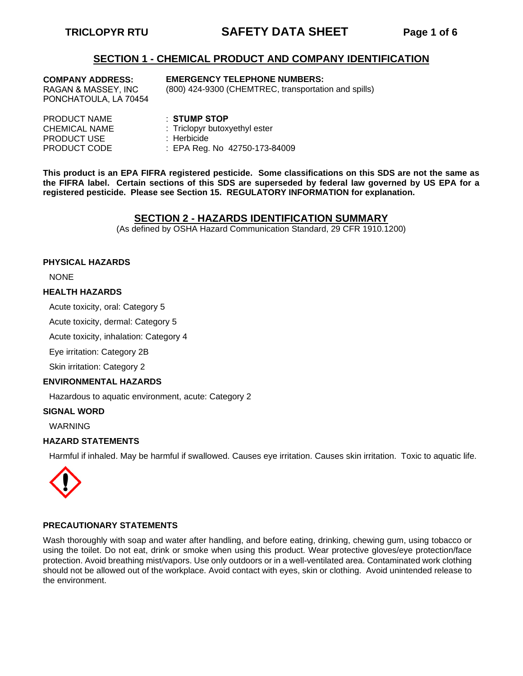# **TRICLOPYR RTU SAFETY DATA SHEET Page 1 of 6**

### **SECTION 1 - CHEMICAL PRODUCT AND COMPANY IDENTIFICATION**

**COMPANY ADDRESS:**  RAGAN & MASSEY, INC PONCHATOULA, LA 70454

#### **EMERGENCY TELEPHONE NUMBERS:**

(800) 424-9300 (CHEMTREC, transportation and spills)

| $\pm$ STUMP STOP              |
|-------------------------------|
| : Triclopyr butoxyethyl ester |
| : Herbicide                   |
| : EPA Reg. No 42750-173-84009 |
|                               |

**This product is an EPA FIFRA registered pesticide. Some classifications on this SDS are not the same as the FIFRA label. Certain sections of this SDS are superseded by federal law governed by US EPA for a registered pesticide. Please see Section 15. REGULATORY INFORMATION for explanation.** 

#### **SECTION 2 - HAZARDS IDENTIFICATION SUMMARY**

(As defined by OSHA Hazard Communication Standard, 29 CFR 1910.1200)

#### **PHYSICAL HAZARDS**

NONE

#### **HEALTH HAZARDS**

Acute toxicity, oral: Category 5

Acute toxicity, dermal: Category 5

Acute toxicity, inhalation: Category 4

Eye irritation: Category 2B

Skin irritation: Category 2

#### **ENVIRONMENTAL HAZARDS**

Hazardous to aquatic environment, acute: Category 2

#### **SIGNAL WORD**

WARNING

#### **HAZARD STATEMENTS**

Harmful if inhaled. May be harmful if swallowed. Causes eye irritation. Causes skin irritation. Toxic to aquatic life.



#### **PRECAUTIONARY STATEMENTS**

Wash thoroughly with soap and water after handling, and before eating, drinking, chewing gum, using tobacco or using the toilet. Do not eat, drink or smoke when using this product. Wear protective gloves/eye protection/face protection. Avoid breathing mist/vapors. Use only outdoors or in a well-ventilated area. Contaminated work clothing should not be allowed out of the workplace. Avoid contact with eyes, skin or clothing. Avoid unintended release to the environment.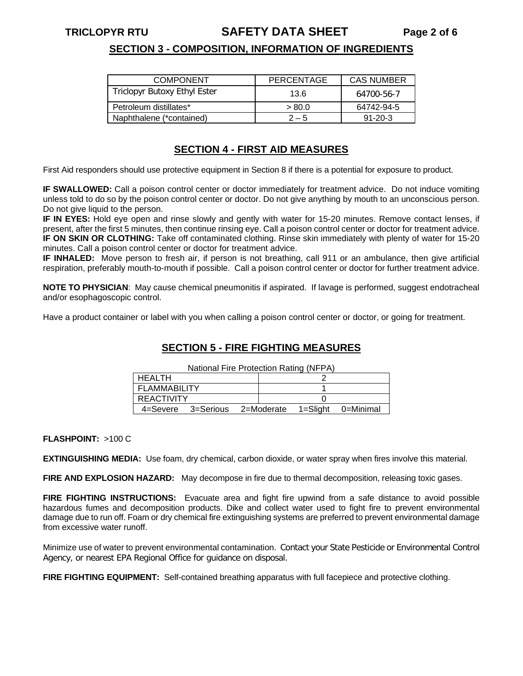# **TRICLOPYR RTU SAFETY DATA SHEET Page 2 of 6**

# **SECTION 3 - COMPOSITION, INFORMATION OF INGREDIENTS**

| <b>COMPONENT</b>                    | PERCENTAGE | <b>CAS NUMBER</b> |
|-------------------------------------|------------|-------------------|
| <b>Triclopyr Butoxy Ethyl Ester</b> | 13.6       | 64700-56-7        |
| Petroleum distillates*              | > 80.0     | 64742-94-5        |
| Naphthalene (*contained)            | $2 - 5$    | $91 - 20 - 3$     |

# **SECTION 4 - FIRST AID MEASURES**

First Aid responders should use protective equipment in Section 8 if there is a potential for exposure to product.

**IF SWALLOWED:** Call a poison control center or doctor immediately for treatment advice. Do not induce vomiting unless told to do so by the poison control center or doctor. Do not give anything by mouth to an unconscious person. Do not give liquid to the person.

**IF IN EYES:** Hold eye open and rinse slowly and gently with water for 15-20 minutes. Remove contact lenses, if present, after the first 5 minutes, then continue rinsing eye. Call a poison control center or doctor for treatment advice.

**IF ON SKIN OR CLOTHING:** Take off contaminated clothing. Rinse skin immediately with plenty of water for 15-20 minutes. Call a poison control center or doctor for treatment advice.

**IF INHALED:** Move person to fresh air, if person is not breathing, call 911 or an ambulance, then give artificial respiration, preferably mouth-to-mouth if possible. Call a poison control center or doctor for further treatment advice.

**NOTE TO PHYSICIAN**: May cause chemical pneumonitis if aspirated. If lavage is performed, suggest endotracheal and/or esophagoscopic control.

Have a product container or label with you when calling a poison control center or doctor, or going for treatment.

# **SECTION 5 - FIRE FIGHTING MEASURES**

National Fire Protection Rating (NFPA)

| National Fire Protection Rating (NFPA) |  |                               |  |  |  |  |
|----------------------------------------|--|-------------------------------|--|--|--|--|
|                                        |  |                               |  |  |  |  |
|                                        |  |                               |  |  |  |  |
|                                        |  |                               |  |  |  |  |
|                                        |  | 1=Slight 0=Minimal            |  |  |  |  |
|                                        |  | 4=Severe 3=Serious 2=Moderate |  |  |  |  |

**FLASHPOINT:** >100 C

**EXTINGUISHING MEDIA:** Use foam, dry chemical, carbon dioxide, or water spray when fires involve this material.

**FIRE AND EXPLOSION HAZARD:** May decompose in fire due to thermal decomposition, releasing toxic gases.

**FIRE FIGHTING INSTRUCTIONS:** Evacuate area and fight fire upwind from a safe distance to avoid possible hazardous fumes and decomposition products. Dike and collect water used to fight fire to prevent environmental damage due to run off. Foam or dry chemical fire extinguishing systems are preferred to prevent environmental damage from excessive water runoff.

Minimize use of water to prevent environmental contamination. Contact your State Pesticide or Environmental Control Agency, or nearest EPA Regional Office for guidance on disposal.

**FIRE FIGHTING EQUIPMENT:** Self-contained breathing apparatus with full facepiece and protective clothing.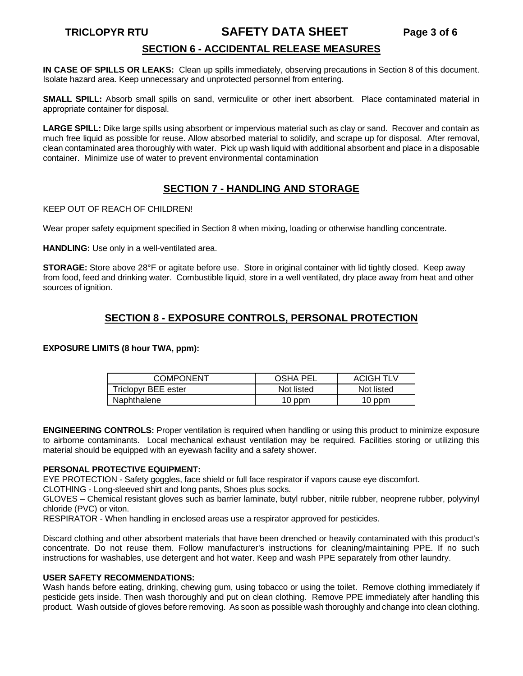# **TRICLOPYR RTU SAFETY DATA SHEET Page 3 of 6**

# **SECTION 6 - ACCIDENTAL RELEASE MEASURES**

**IN CASE OF SPILLS OR LEAKS:** Clean up spills immediately, observing precautions in Section 8 of this document. Isolate hazard area. Keep unnecessary and unprotected personnel from entering.

**SMALL SPILL:** Absorb small spills on sand, vermiculite or other inert absorbent. Place contaminated material in appropriate container for disposal.

**LARGE SPILL:** Dike large spills using absorbent or impervious material such as clay or sand. Recover and contain as much free liquid as possible for reuse. Allow absorbed material to solidify, and scrape up for disposal. After removal, clean contaminated area thoroughly with water. Pick up wash liquid with additional absorbent and place in a disposable container. Minimize use of water to prevent environmental contamination

# **SECTION 7 - HANDLING AND STORAGE**

KEEP OUT OF REACH OF CHILDREN!

Wear proper safety equipment specified in Section 8 when mixing, loading or otherwise handling concentrate.

**HANDLING:** Use only in a well-ventilated area.

**STORAGE:** Store above 28°F or agitate before use. Store in original container with lid tightly closed. Keep away from food, feed and drinking water. Combustible liquid, store in a well ventilated, dry place away from heat and other sources of ignition.

# **SECTION 8 - EXPOSURE CONTROLS, PERSONAL PROTECTION**

**EXPOSURE LIMITS (8 hour TWA, ppm):**

| <b>COMPONENT</b>    | <b>OSHA PEL</b> | <b>ACIGH TLV</b> |
|---------------------|-----------------|------------------|
| Triclopyr BEE ester | Not listed      | Not listed       |
| Naphthalene         | 10 ppm          | 10 ppm           |

**ENGINEERING CONTROLS:** Proper ventilation is required when handling or using this product to minimize exposure to airborne contaminants. Local mechanical exhaust ventilation may be required. Facilities storing or utilizing this material should be equipped with an eyewash facility and a safety shower.

#### **PERSONAL PROTECTIVE EQUIPMENT:**

EYE PROTECTION - Safety goggles, face shield or full face respirator if vapors cause eye discomfort.

CLOTHING - Long-sleeved shirt and long pants, Shoes plus socks.

GLOVES – Chemical resistant gloves such as barrier laminate, butyl rubber, nitrile rubber, neoprene rubber, polyvinyl chloride (PVC) or viton.

RESPIRATOR - When handling in enclosed areas use a respirator approved for pesticides.

Discard clothing and other absorbent materials that have been drenched or heavily contaminated with this product's concentrate. Do not reuse them. Follow manufacturer's instructions for cleaning/maintaining PPE. If no such instructions for washables, use detergent and hot water. Keep and wash PPE separately from other laundry.

#### **USER SAFETY RECOMMENDATIONS:**

Wash hands before eating, drinking, chewing gum, using tobacco or using the toilet. Remove clothing immediately if pesticide gets inside. Then wash thoroughly and put on clean clothing. Remove PPE immediately after handling this product. Wash outside of gloves before removing. As soon as possible wash thoroughly and change into clean clothing.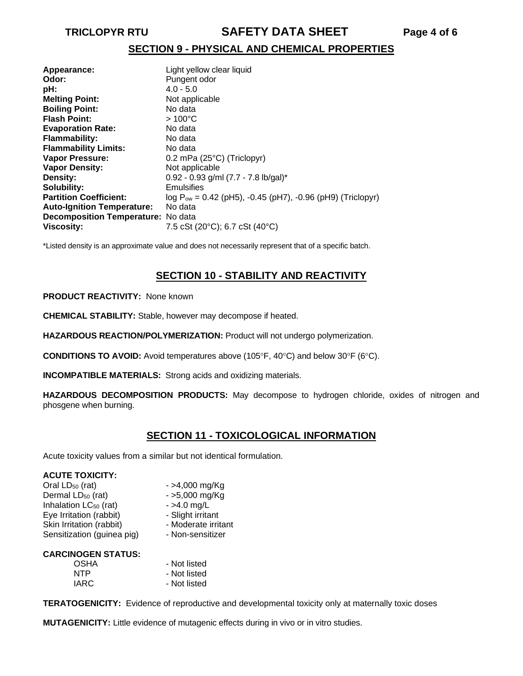# **TRICLOPYR RTU SAFETY DATA SHEET Page 4 of 6**

# **SECTION 9 - PHYSICAL AND CHEMICAL PROPERTIES**

| Appearance:                        | Light yellow clear liquid                                       |
|------------------------------------|-----------------------------------------------------------------|
| Odor:                              | Pungent odor                                                    |
| pH:                                | $4.0 - 5.0$                                                     |
| <b>Melting Point:</b>              | Not applicable                                                  |
| <b>Boiling Point:</b>              | No data                                                         |
| <b>Flash Point:</b>                | $>100^{\circ}$ C                                                |
| <b>Evaporation Rate:</b>           | No data                                                         |
| <b>Flammability:</b>               | No data                                                         |
| <b>Flammability Limits:</b>        | No data                                                         |
| Vapor Pressure:                    | $0.2$ mPa (25 $^{\circ}$ C) (Triclopyr)                         |
| <b>Vapor Density:</b>              | Not applicable                                                  |
| Density:                           | $0.92 - 0.93$ g/ml (7.7 - 7.8 lb/gal)*                          |
| Solubility:                        | Emulsifies                                                      |
| <b>Partition Coefficient:</b>      | $log P_{ow} = 0.42$ (pH5), -0.45 (pH7), -0.96 (pH9) (Triclopyr) |
| <b>Auto-Ignition Temperature:</b>  | No data                                                         |
| Decomposition Temperature: No data |                                                                 |
| <b>Viscosity:</b>                  | 7.5 cSt (20°C); 6.7 cSt (40°C)                                  |

\*Listed density is an approximate value and does not necessarily represent that of a specific batch.

# **SECTION 10 - STABILITY AND REACTIVITY**

#### **PRODUCT REACTIVITY:** None known

**CHEMICAL STABILITY:** Stable, however may decompose if heated.

**HAZARDOUS REACTION/POLYMERIZATION:** Product will not undergo polymerization.

**CONDITIONS TO AVOID:** Avoid temperatures above (105°F, 40°C) and below 30°F (6°C).

**INCOMPATIBLE MATERIALS:** Strong acids and oxidizing materials.

**HAZARDOUS DECOMPOSITION PRODUCTS:** May decompose to hydrogen chloride, oxides of nitrogen and phosgene when burning.

# **SECTION 11 - TOXICOLOGICAL INFORMATION**

Acute toxicity values from a similar but not identical formulation.

# **ACUTE TOXICITY:**<br>Oral LD<sub>50</sub> (rat)

| Oral LD <sub>50</sub> (rat)       | $-$ >4,000 mg/Kg    |
|-----------------------------------|---------------------|
| Dermal LD <sub>50</sub> (rat)     | $-5,000$ mg/Kg      |
| Inhalation LC <sub>50</sub> (rat) | $-$ >4.0 mg/L       |
| Eye Irritation (rabbit)           | - Slight irritant   |
| Skin Irritation (rabbit)          | - Moderate irritant |
| Sensitization (guinea pig)        | - Non-sensitizer    |

#### **CARCINOGEN STATUS:**

| OSHA | - Not listed |
|------|--------------|
| NTP  | - Not listed |
| IARC | - Not listed |

**TERATOGENICITY:** Evidence of reproductive and developmental toxicity only at maternally toxic doses

**MUTAGENICITY:** Little evidence of mutagenic effects during in vivo or in vitro studies.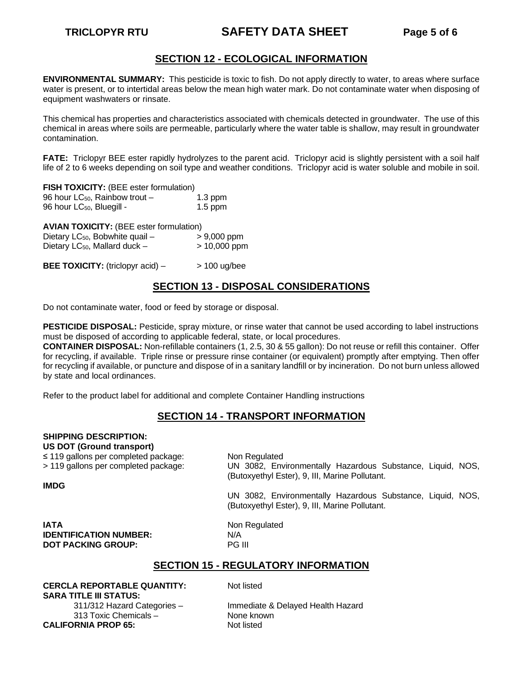# **TRICLOPYR RTU SAFETY DATA SHEET Page 5 of 6**

# **SECTION 12 - ECOLOGICAL INFORMATION**

**ENVIRONMENTAL SUMMARY:** This pesticide is toxic to fish. Do not apply directly to water, to areas where surface water is present, or to intertidal areas below the mean high water mark. Do not contaminate water when disposing of equipment washwaters or rinsate.

This chemical has properties and characteristics associated with chemicals detected in groundwater. The use of this chemical in areas where soils are permeable, particularly where the water table is shallow, may result in groundwater contamination.

**FATE:** Triclopyr BEE ester rapidly hydrolyzes to the parent acid. Triclopyr acid is slightly persistent with a soil half life of 2 to 6 weeks depending on soil type and weather conditions. Triclopyr acid is water soluble and mobile in soil.

| <b>FISH TOXICITY: (BEE ester formulation)</b> |           |
|-----------------------------------------------|-----------|
| 96 hour $LC_{50}$ , Rainbow trout $-$         | $1.3$ ppm |
| 96 hour LC <sub>50</sub> , Bluegill -         | $1.5$ ppm |

**AVIAN TOXICITY:** (BEE ester formulation)

| Dietary LC <sub>50</sub> , Bobwhite quail - | $> 9,000$ ppm |
|---------------------------------------------|---------------|
|                                             |               |

Dietary LC*<sup>B</sup>* <sup>50</sup>*B*, Mallard duck – > 10,000 ppm

**BEE TOXICITY:** (triclopyr acid)  $>$  100 ug/bee

# **SECTION 13 - DISPOSAL CONSIDERATIONS**

Do not contaminate water, food or feed by storage or disposal.

**PESTICIDE DISPOSAL:** Pesticide, spray mixture, or rinse water that cannot be used according to label instructions must be disposed of according to applicable federal, state, or local procedures.

**CONTAINER DISPOSAL:** Non-refillable containers (1, 2.5, 30 & 55 gallon): Do not reuse or refill this container. Offer for recycling, if available. Triple rinse or pressure rinse container (or equivalent) promptly after emptying. Then offer for recycling if available, or puncture and dispose of in a sanitary landfill or by incineration. Do not burn unless allowed by state and local ordinances.

Refer to the product label for additional and complete Container Handling instructions

# **SECTION 14 - TRANSPORT INFORMATION**

| <b>SHIPPING DESCRIPTION:</b><br><b>US DOT (Ground transport)</b><br>$\leq$ 119 gallons per completed package:<br>> 119 gallons per completed package: | Non Regulated<br>UN 3082, Environmentally Hazardous Substance, Liquid, NOS,<br>(Butoxyethyl Ester), 9, III, Marine Pollutant. |  |  |  |
|-------------------------------------------------------------------------------------------------------------------------------------------------------|-------------------------------------------------------------------------------------------------------------------------------|--|--|--|
| <b>IMDG</b>                                                                                                                                           | UN 3082, Environmentally Hazardous Substance, Liquid, NOS,<br>(Butoxyethyl Ester), 9, III, Marine Pollutant.                  |  |  |  |
| <b>IATA</b><br><b>IDENTIFICATION NUMBER:</b><br><b>DOT PACKING GROUP:</b>                                                                             | Non Regulated<br>N/A<br><b>PG III</b>                                                                                         |  |  |  |
| <b>SECTION 15 - REGULATORY INFORMATION</b>                                                                                                            |                                                                                                                               |  |  |  |

**CERCLA REPORTABLE QUANTITY:** Not listed **SARA TITLE III STATUS:**

313 Toxic Chemicals – None known<br>
Not listed<br>
Not listed **CALIFORNIA PROP 65:** 

311/312 Hazard Categories – Immediate & Delayed Health Hazard